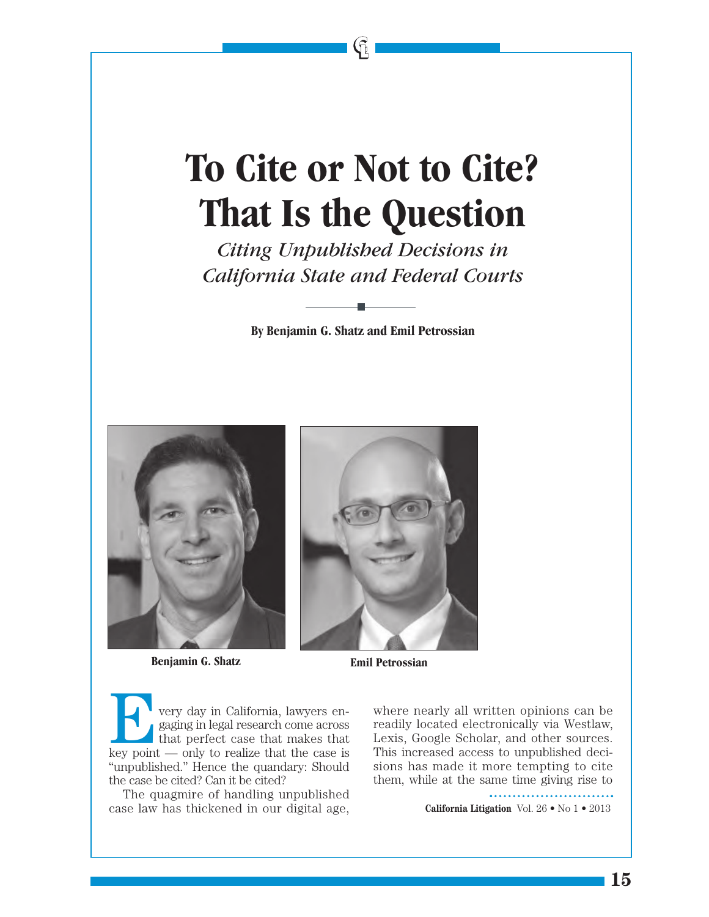## **To Cite or Not to Cite? That Is the Question**

 $\mathfrak{g}$ 

*Citing Unpublished Decisions in California State and Federal Courts*

**By Benjamin G. Shatz and Emil Petrossian**



**Benjamin G. Shatz Emil Petrossian** 



E very day in California, lawyers engaging in legal research come across that perfect case that makes that key point — only to realize that the case is "unpublished." Hence the quandary: Should the case be cited? Can it be cited?

The quagmire of handling unpublished case law has thickened in our digital age,

where nearly all written opinions can be readily located electronically via Westlaw, Lexis, Google Scholar, and other sources. This increased access to unpublished decisions has made it more tempting to cite them, while at the same time giving rise to

**California Litigation** Vol. 26 • No 1 • 2013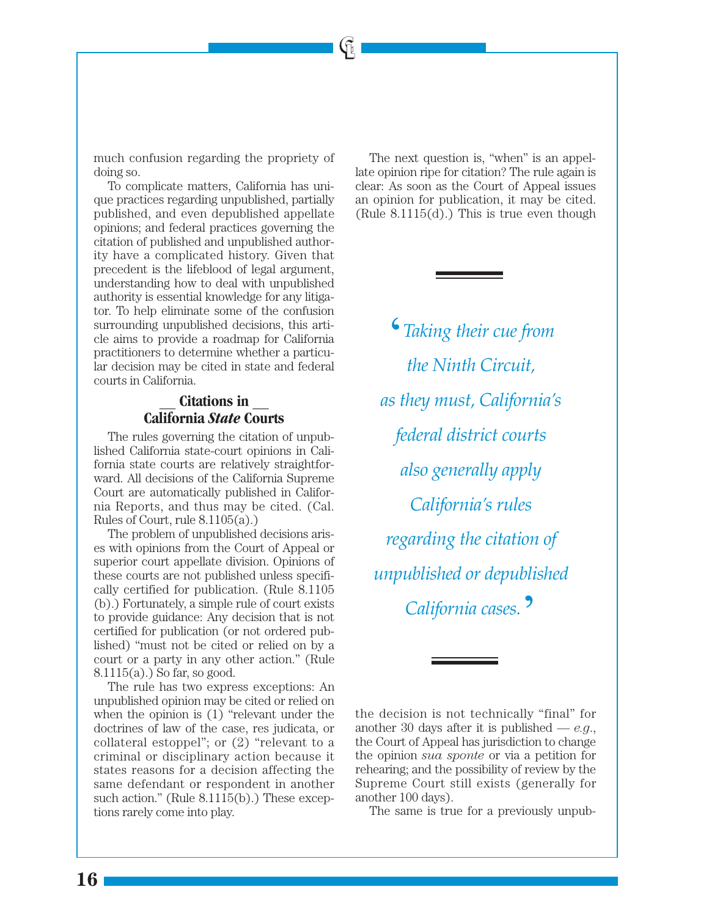much confusion regarding the propriety of doing so.

 $\mathfrak{G}% _{k}(G)$ 

To complicate matters, California has unique practices regarding unpublished, partially published, and even depublished appellate opinions; and federal practices governing the citation of published and unpublished authority have a complicated history. Given that precedent is the lifeblood of legal argument, understanding how to deal with unpublished authority is essential knowledge for any litigator. To help eliminate some of the confusion surrounding unpublished decisions, this article aims to provide a roadmap for California practitioners to determine whether a particular decision may be cited in state and federal courts in California.

## — **Citations in** — **California** *State* **Courts**

The rules governing the citation of unpublished California state-court opinions in California state courts are relatively straightforward. All decisions of the California Supreme Court are automatically published in California Reports, and thus may be cited. (Cal. Rules of Court, rule 8.1105(a).)

The problem of unpublished decisions arises with opinions from the Court of Appeal or superior court appellate division. Opinions of these courts are not published unless specifically certified for publication. (Rule 8.1105 (b).) Fortunately, a simple rule of court exists to provide guidance: Any decision that is not certified for publication (or not ordered published) "must not be cited or relied on by a court or a party in any other action." (Rule 8.1115(a).) So far, so good.

The rule has two express exceptions: An unpublished opinion may be cited or relied on when the opinion is (1) "relevant under the doctrines of law of the case, res judicata, or collateral estoppel"; or (2) "relevant to a criminal or disciplinary action because it states reasons for a decision affecting the same defendant or respondent in another such action." (Rule 8.1115(b).) These exceptions rarely come into play.

The next question is, "when" is an appellate opinion ripe for citation? The rule again is clear: As soon as the Court of Appeal issues an opinion for publication, it may be cited. (Rule  $8.1115(d)$ .) This is true even though

 $\epsilon$ *Taking their cue from the Ninth Circuit. as they must, California's*  $f$ *ederal district courts also generally apply*  $California's rules$ *regarding the citation of unpublished or depublished 1*<br>California cases.<sup>9</sup>

The same is true for a previously unpub-

the decision is not technically "final" for another 30 days after it is published — *e.g*., the Court of Appeal has jurisdiction to change the opinion *sua sponte* or via a petition for rehearing; and the possibility of review by the Supreme Court still exists (generally for another 100 days).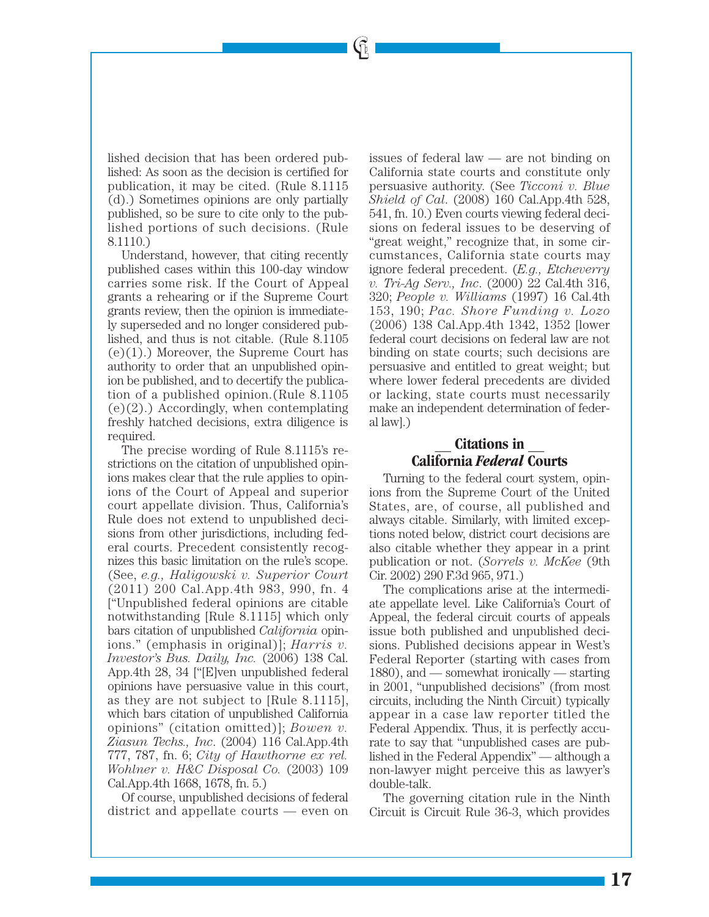lished decision that has been ordered published: As soon as the decision is certified for publication, it may be cited. (Rule 8.1115 (d).) Sometimes opinions are only partially published, so be sure to cite only to the published portions of such decisions. (Rule 8.1110.)

 $\mathfrak{h}$ 

Understand, however, that citing recently published cases within this 100-day window carries some risk. If the Court of Appeal grants a rehearing or if the Supreme Court grants review, then the opinion is immediately superseded and no longer considered published, and thus is not citable. (Rule 8.1105  $(e)(1)$ .) Moreover, the Supreme Court has authority to order that an unpublished opinion be published, and to decertify the publication of a published opinion.(Rule 8.1105  $(e)(2)$ .) Accordingly, when contemplating freshly hatched decisions, extra diligence is required.

The precise wording of Rule 8.1115's restrictions on the citation of unpublished opinions makes clear that the rule applies to opinions of the Court of Appeal and superior court appellate division. Thus, California's Rule does not extend to unpublished decisions from other jurisdictions, including federal courts. Precedent consistently recognizes this basic limitation on the rule's scope. (See, *e.g., Haligowski v. Superior Court* (2011) 200 Cal.App.4th 983, 990, fn. 4 ["Unpublished federal opinions are citable notwithstanding [Rule 8.1115] which only bars citation of unpublished *California* opinions." (emphasis in original)]; *Harris v. Investor's Bus. Daily, Inc.* (2006) 138 Cal. App.4th 28, 34 ["[E]ven unpublished federal opinions have persuasive value in this court, as they are not subject to [Rule 8.1115], which bars citation of unpublished California opinions" (citation omitted)]; *Bowen v. Ziasun Techs., Inc*. (2004) 116 Cal.App.4th 777, 787, fn. 6; *City of Hawthorne ex rel. Wohlner v. H&C Disposal Co.* (2003) 109 Cal.App.4th 1668, 1678, fn. 5.)

Of course, unpublished decisions of federal district and appellate courts — even on issues of federal law — are not binding on California state courts and constitute only persuasive authority. (See *Ticconi v. Blue Shield of Cal*. (2008) 160 Cal.App.4th 528, 541, fn. 10.) Even courts viewing federal decisions on federal issues to be deserving of "great weight," recognize that, in some circumstances, California state courts may ignore federal precedent. (*E.g., Etcheverry v. Tri-Ag Serv., Inc*. (2000) 22 Cal.4th 316, 320; *People v. Williams* (1997) 16 Cal.4th 153, 190; *Pac. Shore Funding v. Lozo* (2006) 138 Cal.App.4th 1342, 1352 [lower federal court decisions on federal law are not binding on state courts; such decisions are persuasive and entitled to great weight; but where lower federal precedents are divided or lacking, state courts must necessarily make an independent determination of federal law].)

## — **Citations in** — **California** *Federal* **Courts**

Turning to the federal court system, opinions from the Supreme Court of the United States, are, of course, all published and always citable. Similarly, with limited exceptions noted below, district court decisions are also citable whether they appear in a print publication or not. (*Sorrels v. McKee* (9th Cir. 2002) 290 F.3d 965, 971.)

The complications arise at the intermediate appellate level. Like California's Court of Appeal, the federal circuit courts of appeals issue both published and unpublished decisions. Published decisions appear in West's Federal Reporter (starting with cases from 1880), and — somewhat ironically — starting in 2001, "unpublished decisions" (from most circuits, including the Ninth Circuit) typically appear in a case law reporter titled the Federal Appendix. Thus, it is perfectly accurate to say that "unpublished cases are published in the Federal Appendix" — although a non-lawyer might perceive this as lawyer's double-talk.

The governing citation rule in the Ninth Circuit is Circuit Rule 36-3, which provides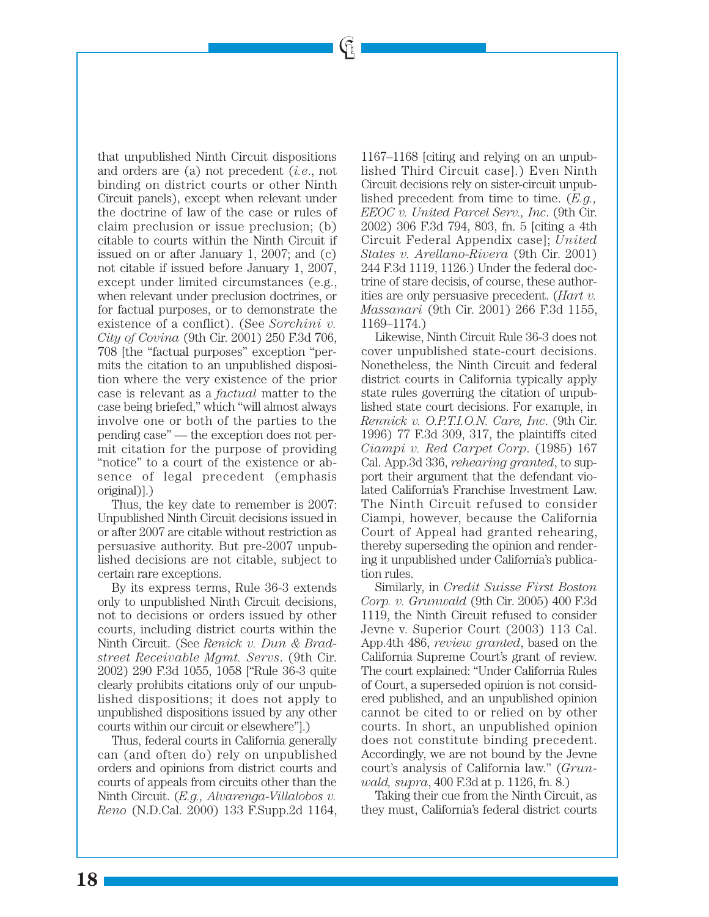$\mathfrak{g}_\mathbb{I}$ 

that unpublished Ninth Circuit dispositions and orders are (a) not precedent (*i.e*., not binding on district courts or other Ninth Circuit panels), except when relevant under the doctrine of law of the case or rules of claim preclusion or issue preclusion; (b) citable to courts within the Ninth Circuit if issued on or after January 1, 2007; and (c) not citable if issued before January 1, 2007, except under limited circumstances (e.g., when relevant under preclusion doctrines, or for factual purposes, or to demonstrate the existence of a conflict). (See *Sorchini v. City of Covina* (9th Cir. 2001) 250 F.3d 706, 708 [the "factual purposes" exception "permits the citation to an unpublished disposition where the very existence of the prior case is relevant as a *factual* matter to the case being briefed," which "will almost always involve one or both of the parties to the pending case" — the exception does not permit citation for the purpose of providing "notice" to a court of the existence or absence of legal precedent (emphasis original)].)

Thus, the key date to remember is 2007: Unpublished Ninth Circuit decisions issued in or after 2007 are citable without restriction as persuasive authority. But pre-2007 unpublished decisions are not citable, subject to certain rare exceptions.

By its express terms, Rule 36-3 extends only to unpublished Ninth Circuit decisions, not to decisions or orders issued by other courts, including district courts within the Ninth Circuit. (See *Renick v. Dun & Bradstreet Receivable Mgmt. Servs*. (9th Cir. 2002) 290 F.3d 1055, 1058 ["Rule 36-3 quite clearly prohibits citations only of our unpublished dispositions; it does not apply to unpublished dispositions issued by any other courts within our circuit or elsewhere"].)

Thus, federal courts in California generally can (and often do) rely on unpublished orders and opinions from district courts and courts of appeals from circuits other than the Ninth Circuit. (*E.g., Alvarenga-Villalobos v. Reno* (N.D.Cal. 2000) 133 F.Supp.2d 1164,

1167–1168 [citing and relying on an unpublished Third Circuit case].) Even Ninth Circuit decisions rely on sister-circuit unpublished precedent from time to time. (*E.g., EEOC v. United Parcel Serv., Inc*. (9th Cir. 2002) 306 F.3d 794, 803, fn. 5 [citing a 4th Circuit Federal Appendix case]; *United States v. Arellano-Rivera* (9th Cir. 2001) 244 F.3d 1119, 1126.) Under the federal doctrine of stare decisis, of course, these authorities are only persuasive precedent. (*Hart v. Massanari* (9th Cir. 2001) 266 F.3d 1155, 1169–1174.)

Likewise, Ninth Circuit Rule 36-3 does not cover unpublished state-court decisions. Nonetheless, the Ninth Circuit and federal district courts in California typically apply state rules governing the citation of unpublished state court decisions. For example, in *Rennick v. O.P.T.I.O.N. Care, Inc*. (9th Cir. 1996) 77 F.3d 309, 317, the plaintiffs cited *Ciampi v. Red Carpet Corp*. (1985) 167 Cal. App.3d 336, *rehearing granted*, to support their argument that the defendant violated California's Franchise Investment Law. The Ninth Circuit refused to consider Ciampi, however, because the California Court of Appeal had granted rehearing, thereby superseding the opinion and rendering it unpublished under California's publication rules.

Similarly, in *Credit Suisse First Boston Corp. v. Grunwald* (9th Cir. 2005) 400 F.3d 1119, the Ninth Circuit refused to consider Jevne v. Superior Court (2003) 113 Cal. App.4th 486, *review granted*, based on the California Supreme Court's grant of review. The court explained: "Under California Rules of Court, a superseded opinion is not considered published, and an unpublished opinion cannot be cited to or relied on by other courts. In short, an unpublished opinion does not constitute binding precedent. Accordingly, we are not bound by the Jevne court's analysis of California law." (*Grunwald, supra*, 400 F.3d at p. 1126, fn. 8.)

Taking their cue from the Ninth Circuit, as they must, California's federal district courts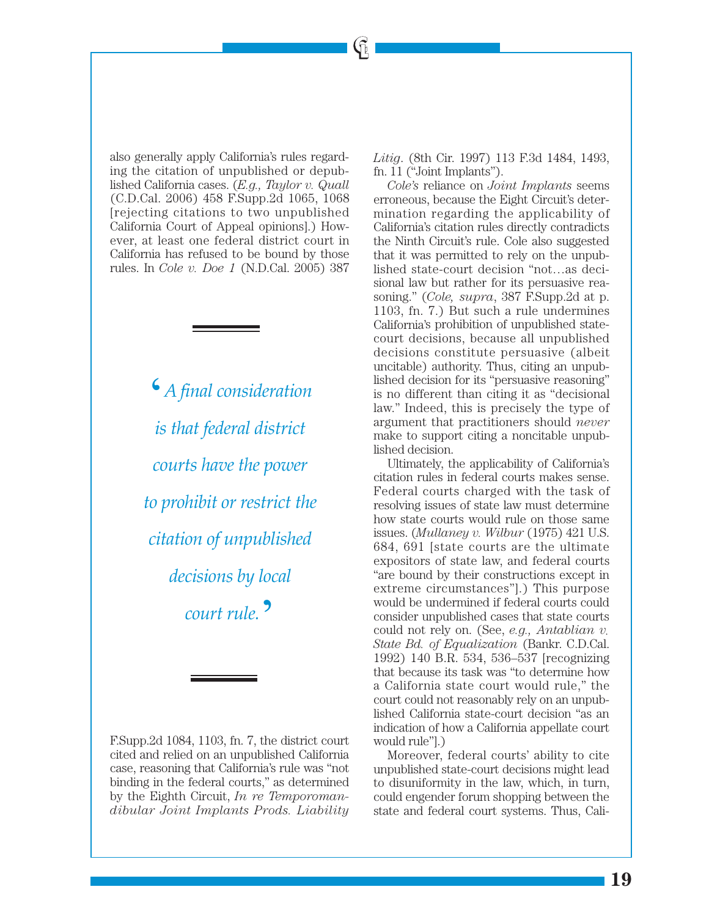also generally apply California's rules regarding the citation of unpublished or depublished California cases. (*E.g., Taylor v. Quall* (C.D.Cal. 2006) 458 F.Supp.2d 1065, 1068 [rejecting citations to two unpublished California Court of Appeal opinions].) However, at least one federal district court in California has refused to be bound by those rules. In *Cole v. Doe 1* (N.D.Cal. 2005) 387

> $6$ *A final consideration is that federal district*  $1$ *courts have the power to prohibit or restrict the k* citation of unpublished *decisions by local +.,\*'&\*,5):* !

F.Supp.2d 1084, 1103, fn. 7, the district court cited and relied on an unpublished California case, reasoning that California's rule was "not binding in the federal courts," as determined by the Eighth Circuit, *In re Temporomandibular Joint Implants Prods. Liability*

*Litig*. (8th Cir. 1997) 113 F.3d 1484, 1493, fn. 11 ("Joint Implants").

 $\mathfrak{g}$ 

*Cole's* reliance on *Joint Implants* seems erroneous, because the Eight Circuit's determination regarding the applicability of California's citation rules directly contradicts the Ninth Circuit's rule. Cole also suggested that it was permitted to rely on the unpublished state-court decision "not…as decisional law but rather for its persuasive reasoning." (*Cole, supra*, 387 F.Supp.2d at p. 1103, fn. 7.) But such a rule undermines California's prohibition of unpublished statecourt decisions, because all unpublished decisions constitute persuasive (albeit uncitable) authority. Thus, citing an unpublished decision for its "persuasive reasoning" is no different than citing it as "decisional law." Indeed, this is precisely the type of argument that practitioners should *never* make to support citing a noncitable unpublished decision.

Ultimately, the applicability of California's citation rules in federal courts makes sense. Federal courts charged with the task of resolving issues of state law must determine how state courts would rule on those same issues. (*Mullaney v. Wilbur* (1975) 421 U.S. 684, 691 [state courts are the ultimate expositors of state law, and federal courts "are bound by their constructions except in extreme circumstances"].) This purpose would be undermined if federal courts could consider unpublished cases that state courts could not rely on. (See, *e.g., Antablian v. State Bd. of Equalization* (Bankr. C.D.Cal. 1992) 140 B.R. 534, 536–537 [recognizing that because its task was "to determine how a California state court would rule," the court could not reasonably rely on an unpublished California state-court decision "as an indication of how a California appellate court would rule"].)

Moreover, federal courts' ability to cite unpublished state-court decisions might lead to disuniformity in the law, which, in turn, could engender forum shopping between the state and federal court systems. Thus, Cali